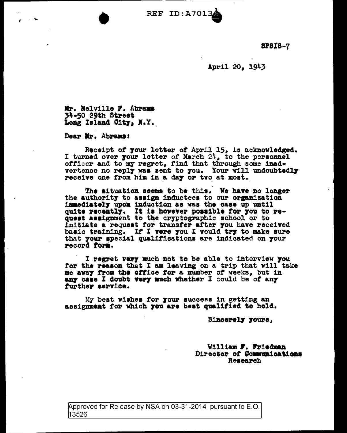REF ID:A7013

8PB:t8-7

April 20, 1943

Mr. Melville F. Abrama 34-50 29th Street Long Island City, N.Y.

Dear Mr. Abramai

Receipt of **7our letter of April 15, is acknowledged.** I turned over **your letter of March 24, to the personnel** officer and to my regret, find that through some inadvertence no reply was sent to you. Your will undoubtedly receive one from him in a day or tvo at most.

The situation seems to be this. We have no longer the authority to assign inductees to our organization immediately upon induction as vas the case up until quite recently. It is however possible for you to request assignment to the cryptographic school or to initiate a requeat tor transfer after 7ou have rece1Yed basic training. If I were you I would try to make sure that 7our apecial qual1ticat1one are indicated on 7our record form.

I regret very much not to be able to interview you ror the reaaon that I am leaving on a trip that v111 take me away from the office for a number of weeks, but in any case I doubt very much whether I could be of any further service.

My beat v1ahea tor 7our euccesa in getting an assignment for which you are best qualified to hold.

Sincerely yours,

William F. Friedman Director of Communications Reaearch